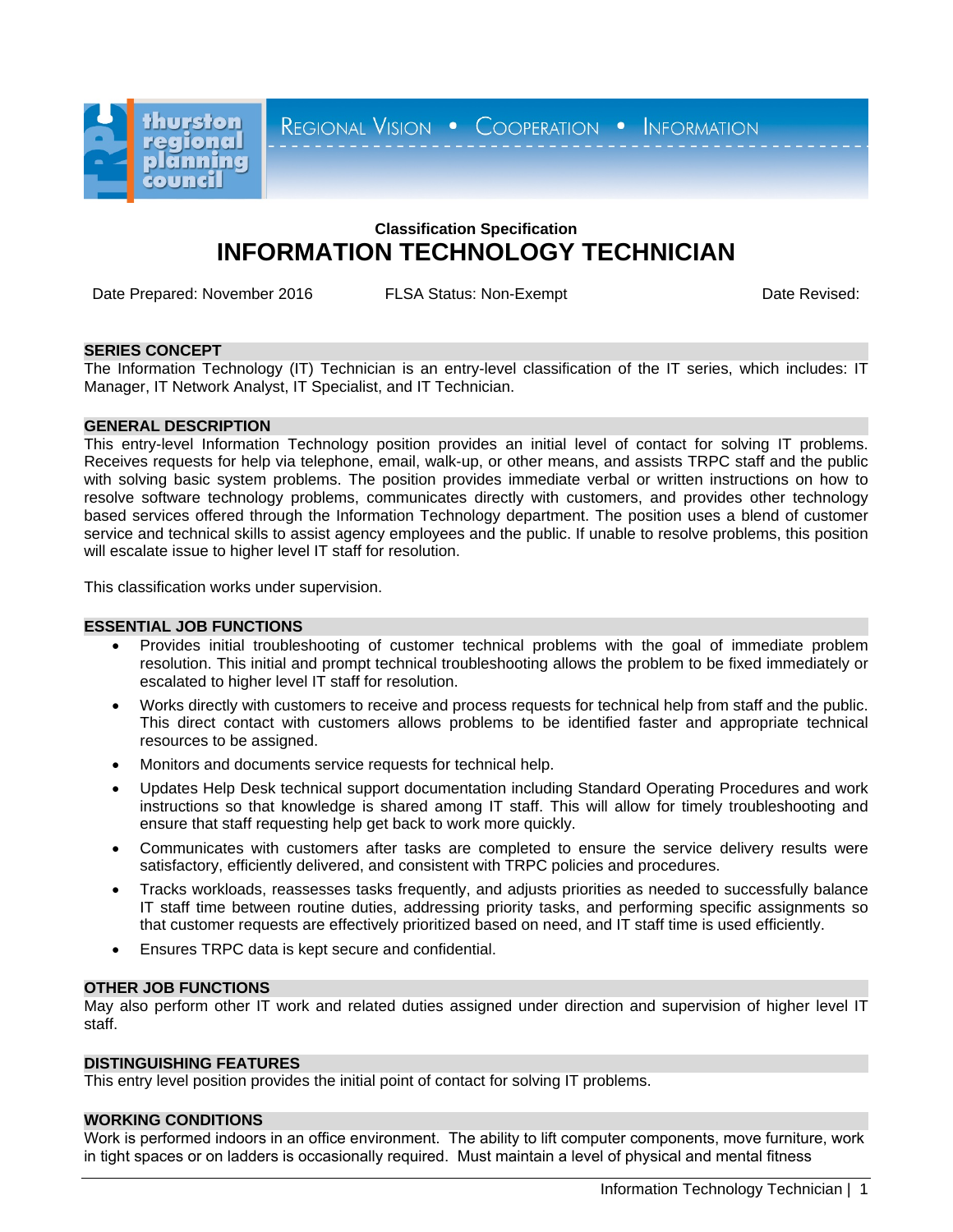

REGIONAL VISION . COOPERATION . INFORMATION

# **Classification Specification INFORMATION TECHNOLOGY TECHNICIAN**

Date Prepared: November 2016 FLSA Status: Non-Exempt **FRAGILIA Status: Non-Exempt** Date Revised:

## **SERIES CONCEPT**

The Information Technology (IT) Technician is an entry-level classification of the IT series, which includes: IT Manager, IT Network Analyst, IT Specialist, and IT Technician.

## **GENERAL DESCRIPTION**

This entry-level Information Technology position provides an initial level of contact for solving IT problems. Receives requests for help via telephone, email, walk-up, or other means, and assists TRPC staff and the public with solving basic system problems. The position provides immediate verbal or written instructions on how to resolve software technology problems, communicates directly with customers, and provides other technology based services offered through the Information Technology department. The position uses a blend of customer service and technical skills to assist agency employees and the public. If unable to resolve problems, this position will escalate issue to higher level IT staff for resolution.

This classification works under supervision.

## **ESSENTIAL JOB FUNCTIONS**

- Provides initial troubleshooting of customer technical problems with the goal of immediate problem resolution. This initial and prompt technical troubleshooting allows the problem to be fixed immediately or escalated to higher level IT staff for resolution.
- Works directly with customers to receive and process requests for technical help from staff and the public. This direct contact with customers allows problems to be identified faster and appropriate technical resources to be assigned.
- Monitors and documents service requests for technical help.
- Updates Help Desk technical support documentation including Standard Operating Procedures and work instructions so that knowledge is shared among IT staff. This will allow for timely troubleshooting and ensure that staff requesting help get back to work more quickly.
- Communicates with customers after tasks are completed to ensure the service delivery results were satisfactory, efficiently delivered, and consistent with TRPC policies and procedures.
- Tracks workloads, reassesses tasks frequently, and adjusts priorities as needed to successfully balance IT staff time between routine duties, addressing priority tasks, and performing specific assignments so that customer requests are effectively prioritized based on need, and IT staff time is used efficiently.
- Ensures TRPC data is kept secure and confidential.

## **OTHER JOB FUNCTIONS**

May also perform other IT work and related duties assigned under direction and supervision of higher level IT staff.

## **DISTINGUISHING FEATURES**

This entry level position provides the initial point of contact for solving IT problems.

## **WORKING CONDITIONS**

Work is performed indoors in an office environment. The ability to lift computer components, move furniture, work in tight spaces or on ladders is occasionally required. Must maintain a level of physical and mental fitness